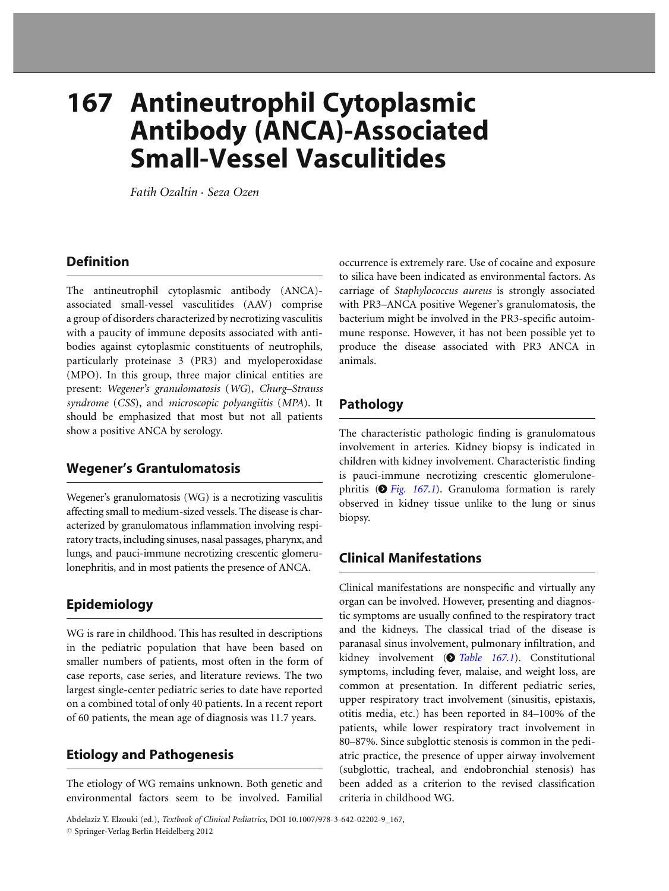# 167 Antineutrophil Cytoplasmic Antibody (ANCA)-Associated Small-Vessel Vasculitides

Fatih Ozaltin . Seza Ozen

## **Definition**

The antineutrophil cytoplasmic antibody (ANCA) associated small-vessel vasculitides (AAV) comprise a group of disorders characterized by necrotizing vasculitis with a paucity of immune deposits associated with antibodies against cytoplasmic constituents of neutrophils, particularly proteinase 3 (PR3) and myeloperoxidase (MPO). In this group, three major clinical entities are present: Wegener's granulomatosis (WG), Churg–Strauss syndrome (CSS), and microscopic polyangiitis (MPA). It should be emphasized that most but not all patients show a positive ANCA by serology.

## Wegener's Grantulomatosis

Wegener's granulomatosis (WG) is a necrotizing vasculitis affecting small to medium-sized vessels. The disease is characterized by granulomatous inflammation involving respiratory tracts, including sinuses, nasal passages, pharynx, and lungs, and pauci-immune necrotizing crescentic glomerulonephritis, and in most patients the presence of ANCA.

## Epidemiology

WG is rare in childhood. This has resulted in descriptions in the pediatric population that have been based on smaller numbers of patients, most often in the form of case reports, case series, and literature reviews. The two largest single-center pediatric series to date have reported on a combined total of only 40 patients. In a recent report of 60 patients, the mean age of diagnosis was 11.7 years.

## Etiology and Pathogenesis

The etiology of WG remains unknown. Both genetic and environmental factors seem to be involved. Familial occurrence is extremely rare. Use of cocaine and exposure to silica have been indicated as environmental factors. As carriage of Staphylococcus aureus is strongly associated with PR3–ANCA positive Wegener's granulomatosis, the bacterium might be involved in the PR3-specific autoimmune response. However, it has not been possible yet to produce the disease associated with PR3 ANCA in animals.

## Pathology

The characteristic pathologic finding is granulomatous involvement in arteries. Kidney biopsy is indicated in children with kidney involvement. Characteristic finding is pauci-immune necrotizing crescentic glomerulonephritis ( $\bullet$  [Fig. 167.1](#page-1-0)). Granuloma formation is rarely observed in kidney tissue unlike to the lung or sinus biopsy.

# Clinical Manifestations

Clinical manifestations are nonspecific and virtually any organ can be involved. However, presenting and diagnostic symptoms are usually confined to the respiratory tract and the kidneys. The classical triad of the disease is paranasal sinus involvement, pulmonary infiltration, and kidney involvement ( $\bullet$  [Table 167.1](#page-1-0)). Constitutional symptoms, including fever, malaise, and weight loss, are common at presentation. In different pediatric series, upper respiratory tract involvement (sinusitis, epistaxis, otitis media, etc.) has been reported in 84–100% of the patients, while lower respiratory tract involvement in 80–87%. Since subglottic stenosis is common in the pediatric practice, the presence of upper airway involvement (subglottic, tracheal, and endobronchial stenosis) has been added as a criterion to the revised classification criteria in childhood WG.

Abdelaziz Y. Elzouki (ed.), Textbook of Clinical Pediatrics, DOI 10.1007/978-3-642-02202-9\_167,  $©$  Springer-Verlag Berlin Heidelberg 2012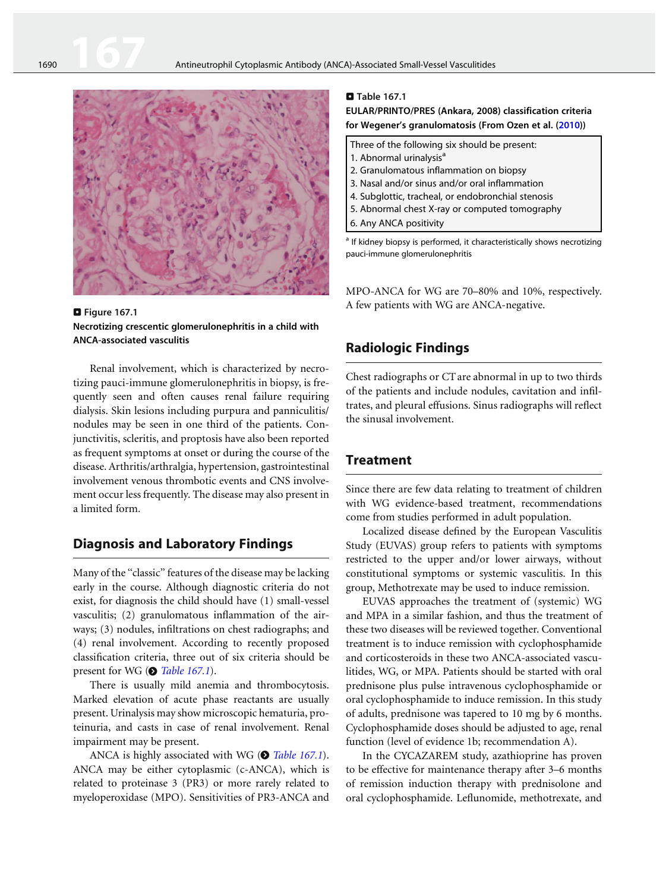<span id="page-1-0"></span>

**D** Figure 167.1 Necrotizing crescentic glomerulonephritis in a child with ANCA-associated vasculitis

Renal involvement, which is characterized by necrotizing pauci-immune glomerulonephritis in biopsy, is frequently seen and often causes renal failure requiring dialysis. Skin lesions including purpura and panniculitis/ nodules may be seen in one third of the patients. Conjunctivitis, scleritis, and proptosis have also been reported as frequent symptoms at onset or during the course of the disease. Arthritis/arthralgia, hypertension, gastrointestinal involvement venous thrombotic events and CNS involvement occur less frequently. The disease may also present in a limited form.

## Diagnosis and Laboratory Findings

Many of the "classic" features of the disease may be lacking early in the course. Although diagnostic criteria do not exist, for diagnosis the child should have (1) small-vessel vasculitis; (2) granulomatous inflammation of the airways; (3) nodules, infiltrations on chest radiographs; and (4) renal involvement. According to recently proposed classification criteria, three out of six criteria should be present for WG ( $\odot$  Table 167.1).

There is usually mild anemia and thrombocytosis. Marked elevation of acute phase reactants are usually present. Urinalysis may show microscopic hematuria, proteinuria, and casts in case of renal involvement. Renal impairment may be present.

ANCA is highly associated with WG ( $\odot$  Table 167.1). ANCA may be either cytoplasmic (c-ANCA), which is related to proteinase 3 (PR3) or more rarely related to myeloperoxidase (MPO). Sensitivities of PR3-ANCA and

#### $\square$  Table 167.1 EULAR/PRINTO/PRES (Ankara, 2008) classification criteria for Wegener's granulomatosis (From Ozen et al. ([2010\)](#page-4-0))

| Three of the following six should be present:  |
|------------------------------------------------|
| 1. Abnormal urinalysis <sup>a</sup>            |
| 2. Granulomatous inflammation on biopsy        |
| 3. Nasal and/or sinus and/or oral inflammation |

- 4. Subglottic, tracheal, or endobronchial stenosis
- 5. Abnormal chest X-ray or computed tomography
- 6. Any ANCA positivity

<sup>a</sup> If kidney biopsy is performed, it characteristically shows necrotizing pauci-immune glomerulonephritis

MPO-ANCA for WG are 70–80% and 10%, respectively. A few patients with WG are ANCA-negative.

## Radiologic Findings

Chest radiographs or CT are abnormal in up to two thirds of the patients and include nodules, cavitation and infiltrates, and pleural effusions. Sinus radiographs will reflect the sinusal involvement.

## **Treatment**

Since there are few data relating to treatment of children with WG evidence-based treatment, recommendations come from studies performed in adult population.

Localized disease defined by the European Vasculitis Study (EUVAS) group refers to patients with symptoms restricted to the upper and/or lower airways, without constitutional symptoms or systemic vasculitis. In this group, Methotrexate may be used to induce remission.

EUVAS approaches the treatment of (systemic) WG and MPA in a similar fashion, and thus the treatment of these two diseases will be reviewed together. Conventional treatment is to induce remission with cyclophosphamide and corticosteroids in these two ANCA-associated vasculitides, WG, or MPA. Patients should be started with oral prednisone plus pulse intravenous cyclophosphamide or oral cyclophosphamide to induce remission. In this study of adults, prednisone was tapered to 10 mg by 6 months. Cyclophosphamide doses should be adjusted to age, renal function (level of evidence 1b; recommendation A).

In the CYCAZAREM study, azathioprine has proven to be effective for maintenance therapy after 3–6 months of remission induction therapy with prednisolone and oral cyclophosphamide. Leflunomide, methotrexate, and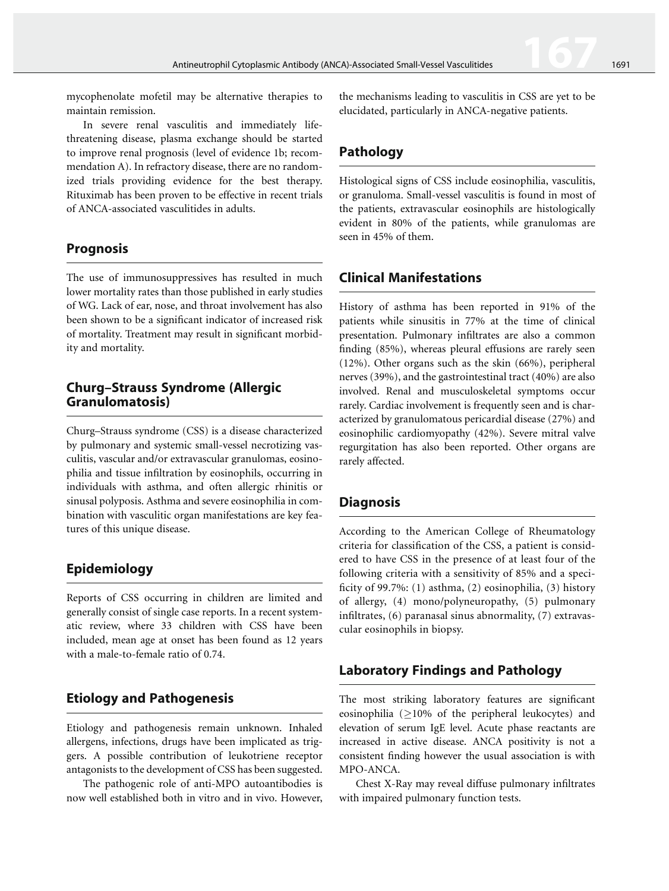mycophenolate mofetil may be alternative therapies to maintain remission.

In severe renal vasculitis and immediately lifethreatening disease, plasma exchange should be started to improve renal prognosis (level of evidence 1b; recommendation A). In refractory disease, there are no randomized trials providing evidence for the best therapy. Rituximab has been proven to be effective in recent trials of ANCA-associated vasculitides in adults.

## Prognosis

The use of immunosuppressives has resulted in much lower mortality rates than those published in early studies of WG. Lack of ear, nose, and throat involvement has also been shown to be a significant indicator of increased risk of mortality. Treatment may result in significant morbidity and mortality.

#### Churg–Strauss Syndrome (Allergic Granulomatosis)

Churg–Strauss syndrome (CSS) is a disease characterized by pulmonary and systemic small-vessel necrotizing vasculitis, vascular and/or extravascular granulomas, eosinophilia and tissue infiltration by eosinophils, occurring in individuals with asthma, and often allergic rhinitis or sinusal polyposis. Asthma and severe eosinophilia in combination with vasculitic organ manifestations are key features of this unique disease.

# Epidemiology

Reports of CSS occurring in children are limited and generally consist of single case reports. In a recent systematic review, where 33 children with CSS have been included, mean age at onset has been found as 12 years with a male-to-female ratio of 0.74.

## Etiology and Pathogenesis

Etiology and pathogenesis remain unknown. Inhaled allergens, infections, drugs have been implicated as triggers. A possible contribution of leukotriene receptor antagonists to the development of CSS has been suggested.

The pathogenic role of anti-MPO autoantibodies is now well established both in vitro and in vivo. However, the mechanisms leading to vasculitis in CSS are yet to be elucidated, particularly in ANCA-negative patients.

## Pathology

Histological signs of CSS include eosinophilia, vasculitis, or granuloma. Small-vessel vasculitis is found in most of the patients, extravascular eosinophils are histologically evident in 80% of the patients, while granulomas are seen in 45% of them.

## Clinical Manifestations

History of asthma has been reported in 91% of the patients while sinusitis in 77% at the time of clinical presentation. Pulmonary infiltrates are also a common finding (85%), whereas pleural effusions are rarely seen (12%). Other organs such as the skin (66%), peripheral nerves (39%), and the gastrointestinal tract (40%) are also involved. Renal and musculoskeletal symptoms occur rarely. Cardiac involvement is frequently seen and is characterized by granulomatous pericardial disease (27%) and eosinophilic cardiomyopathy (42%). Severe mitral valve regurgitation has also been reported. Other organs are rarely affected.

## **Diagnosis**

According to the American College of Rheumatology criteria for classification of the CSS, a patient is considered to have CSS in the presence of at least four of the following criteria with a sensitivity of 85% and a specificity of 99.7%: (1) asthma, (2) eosinophilia, (3) history of allergy, (4) mono/polyneuropathy, (5) pulmonary infiltrates, (6) paranasal sinus abnormality, (7) extravascular eosinophils in biopsy.

## Laboratory Findings and Pathology

The most striking laboratory features are significant eosinophilia ( $\geq$ 10% of the peripheral leukocytes) and elevation of serum IgE level. Acute phase reactants are increased in active disease. ANCA positivity is not a consistent finding however the usual association is with MPO-ANCA.

Chest X-Ray may reveal diffuse pulmonary infiltrates with impaired pulmonary function tests.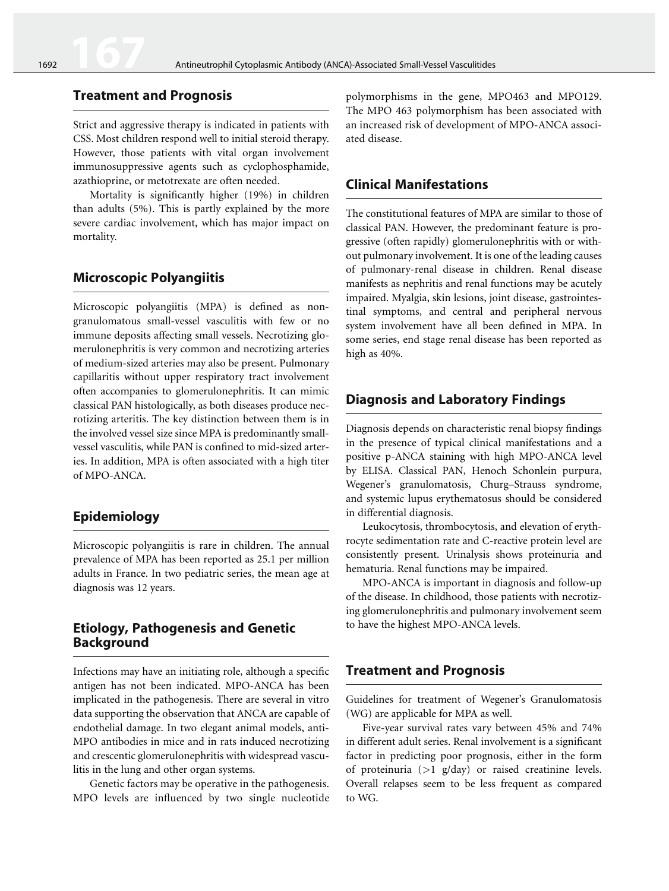#### Treatment and Prognosis

Strict and aggressive therapy is indicated in patients with CSS. Most children respond well to initial steroid therapy. However, those patients with vital organ involvement immunosuppressive agents such as cyclophosphamide, azathioprine, or metotrexate are often needed.

Mortality is significantly higher (19%) in children than adults (5%). This is partly explained by the more severe cardiac involvement, which has major impact on mortality.

#### Microscopic Polyangiitis

Microscopic polyangiitis (MPA) is defined as nongranulomatous small-vessel vasculitis with few or no immune deposits affecting small vessels. Necrotizing glomerulonephritis is very common and necrotizing arteries of medium-sized arteries may also be present. Pulmonary capillaritis without upper respiratory tract involvement often accompanies to glomerulonephritis. It can mimic classical PAN histologically, as both diseases produce necrotizing arteritis. The key distinction between them is in the involved vessel size since MPA is predominantly smallvessel vasculitis, while PAN is confined to mid-sized arteries. In addition, MPA is often associated with a high titer of MPO-ANCA.

### Epidemiology

Microscopic polyangiitis is rare in children. The annual prevalence of MPA has been reported as 25.1 per million adults in France. In two pediatric series, the mean age at diagnosis was 12 years.

## Etiology, Pathogenesis and Genetic Background

Infections may have an initiating role, although a specific antigen has not been indicated. MPO-ANCA has been implicated in the pathogenesis. There are several in vitro data supporting the observation that ANCA are capable of endothelial damage. In two elegant animal models, anti-MPO antibodies in mice and in rats induced necrotizing and crescentic glomerulonephritis with widespread vasculitis in the lung and other organ systems.

Genetic factors may be operative in the pathogenesis. MPO levels are influenced by two single nucleotide

polymorphisms in the gene, MPO463 and MPO129. The MPO 463 polymorphism has been associated with an increased risk of development of MPO-ANCA associated disease.

## Clinical Manifestations

The constitutional features of MPA are similar to those of classical PAN. However, the predominant feature is progressive (often rapidly) glomerulonephritis with or without pulmonary involvement. It is one of the leading causes of pulmonary-renal disease in children. Renal disease manifests as nephritis and renal functions may be acutely impaired. Myalgia, skin lesions, joint disease, gastrointestinal symptoms, and central and peripheral nervous system involvement have all been defined in MPA. In some series, end stage renal disease has been reported as high as 40%.

## Diagnosis and Laboratory Findings

Diagnosis depends on characteristic renal biopsy findings in the presence of typical clinical manifestations and a positive p-ANCA staining with high MPO-ANCA level by ELISA. Classical PAN, Henoch Schonlein purpura, Wegener's granulomatosis, Churg–Strauss syndrome, and systemic lupus erythematosus should be considered in differential diagnosis.

Leukocytosis, thrombocytosis, and elevation of erythrocyte sedimentation rate and C-reactive protein level are consistently present. Urinalysis shows proteinuria and hematuria. Renal functions may be impaired.

MPO-ANCA is important in diagnosis and follow-up of the disease. In childhood, those patients with necrotizing glomerulonephritis and pulmonary involvement seem to have the highest MPO-ANCA levels.

#### Treatment and Prognosis

Guidelines for treatment of Wegener's Granulomatosis (WG) are applicable for MPA as well.

Five-year survival rates vary between 45% and 74% in different adult series. Renal involvement is a significant factor in predicting poor prognosis, either in the form of proteinuria  $(>1 \text{ g/day})$  or raised creatinine levels. Overall relapses seem to be less frequent as compared to WG.